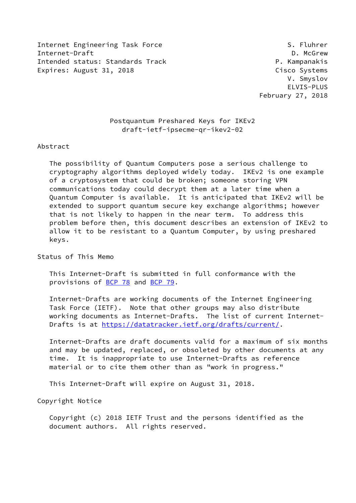Internet Engineering Task Force S. Fluhrer Internet-Draft **D. McGrew** Intended status: Standards Track P. Kampanakis Expires: August 31, 2018 Cisco Systems

 V. Smyslov ELVIS-PLUS February 27, 2018

## Postquantum Preshared Keys for IKEv2 draft-ietf-ipsecme-qr-ikev2-02

#### Abstract

 The possibility of Quantum Computers pose a serious challenge to cryptography algorithms deployed widely today. IKEv2 is one example of a cryptosystem that could be broken; someone storing VPN communications today could decrypt them at a later time when a Quantum Computer is available. It is anticipated that IKEv2 will be extended to support quantum secure key exchange algorithms; however that is not likely to happen in the near term. To address this problem before then, this document describes an extension of IKEv2 to allow it to be resistant to a Quantum Computer, by using preshared keys.

Status of This Memo

 This Internet-Draft is submitted in full conformance with the provisions of [BCP 78](https://datatracker.ietf.org/doc/pdf/bcp78) and [BCP 79](https://datatracker.ietf.org/doc/pdf/bcp79).

 Internet-Drafts are working documents of the Internet Engineering Task Force (IETF). Note that other groups may also distribute working documents as Internet-Drafts. The list of current Internet- Drafts is at<https://datatracker.ietf.org/drafts/current/>.

 Internet-Drafts are draft documents valid for a maximum of six months and may be updated, replaced, or obsoleted by other documents at any time. It is inappropriate to use Internet-Drafts as reference material or to cite them other than as "work in progress."

This Internet-Draft will expire on August 31, 2018.

Copyright Notice

 Copyright (c) 2018 IETF Trust and the persons identified as the document authors. All rights reserved.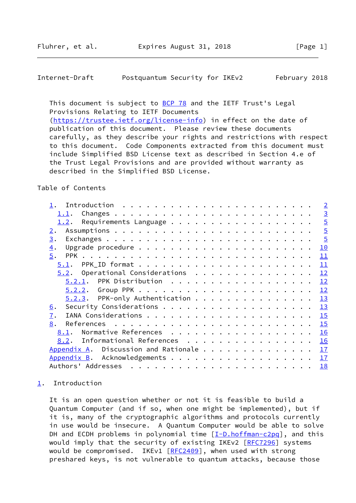<span id="page-1-1"></span>

| Internet-Draft | Postquantum Security for IKEv2 |  |  | February 2018 |  |
|----------------|--------------------------------|--|--|---------------|--|
|----------------|--------------------------------|--|--|---------------|--|

This document is subject to **[BCP 78](https://datatracker.ietf.org/doc/pdf/bcp78)** and the IETF Trust's Legal Provisions Relating to IETF Documents [\(https://trustee.ietf.org/license-info](https://trustee.ietf.org/license-info)) in effect on the date of publication of this document. Please review these documents carefully, as they describe your rights and restrictions with respect to this document. Code Components extracted from this document must include Simplified BSD License text as described in Section 4.e of the Trust Legal Provisions and are provided without warranty as described in the Simplified BSD License.

#### Table of Contents

|                                                                            |  |  | $\overline{2}$ |
|----------------------------------------------------------------------------|--|--|----------------|
|                                                                            |  |  | $\overline{3}$ |
| 1.2.                                                                       |  |  | $\overline{5}$ |
| 2.                                                                         |  |  | $\overline{5}$ |
| 3.                                                                         |  |  | $\overline{5}$ |
| $\overline{4}$ .                                                           |  |  | 10             |
| 5.                                                                         |  |  | 11             |
| 5.1.                                                                       |  |  | 11             |
| $5.2.$ Operational Considerations                                          |  |  | 12             |
| $5.2.1$ . PPK Distribution                                                 |  |  | 12             |
|                                                                            |  |  | 12             |
| $5.2.3$ . PPK-only Authentication                                          |  |  | 13             |
| 6.                                                                         |  |  | 13             |
| 7.                                                                         |  |  | 15             |
| 8.<br>References $\ldots \ldots \ldots \ldots \ldots \ldots \ldots \ldots$ |  |  | 15             |
| Normative References<br>8.1.                                               |  |  | 16             |
| Informational References<br>8.2.                                           |  |  | 16             |
| Appendix A. Discussion and Rationale                                       |  |  | 17             |
| Appendix B. Acknowledgements 17                                            |  |  |                |
|                                                                            |  |  | 18             |

#### <span id="page-1-0"></span>[1](#page-1-0). Introduction

 It is an open question whether or not it is feasible to build a Quantum Computer (and if so, when one might be implemented), but if it is, many of the cryptographic algorithms and protocols currently in use would be insecure. A Quantum Computer would be able to solve DH and ECDH problems in polynomial time  $[\underline{I-D.hoffman-C2pq}]$ , and this would imply that the security of existing IKEv2 [\[RFC7296](https://datatracker.ietf.org/doc/pdf/rfc7296)] systems would be compromised. IKEv1 [\[RFC2409](https://datatracker.ietf.org/doc/pdf/rfc2409)], when used with strong preshared keys, is not vulnerable to quantum attacks, because those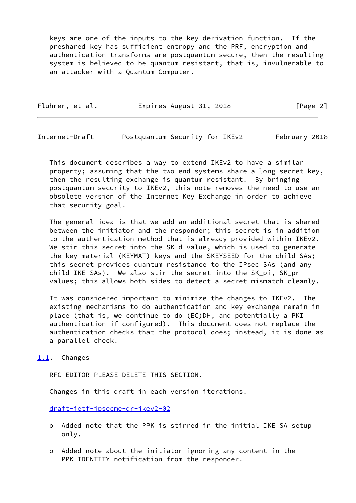keys are one of the inputs to the key derivation function. If the preshared key has sufficient entropy and the PRF, encryption and authentication transforms are postquantum secure, then the resulting system is believed to be quantum resistant, that is, invulnerable to an attacker with a Quantum Computer.

| Fluhrer, et al. | Expires August 31, 2018 | [Page 2] |
|-----------------|-------------------------|----------|
|-----------------|-------------------------|----------|

<span id="page-2-1"></span>Internet-Draft Postquantum Security for IKEv2 February 2018

 This document describes a way to extend IKEv2 to have a similar property; assuming that the two end systems share a long secret key, then the resulting exchange is quantum resistant. By bringing postquantum security to IKEv2, this note removes the need to use an obsolete version of the Internet Key Exchange in order to achieve that security goal.

 The general idea is that we add an additional secret that is shared between the initiator and the responder; this secret is in addition to the authentication method that is already provided within IKEv2. We stir this secret into the SK\_d value, which is used to generate the key material (KEYMAT) keys and the SKEYSEED for the child SAs; this secret provides quantum resistance to the IPsec SAs (and any child IKE SAs). We also stir the secret into the SK\_pi, SK\_pr values; this allows both sides to detect a secret mismatch cleanly.

 It was considered important to minimize the changes to IKEv2. The existing mechanisms to do authentication and key exchange remain in place (that is, we continue to do (EC)DH, and potentially a PKI authentication if configured). This document does not replace the authentication checks that the protocol does; instead, it is done as a parallel check.

<span id="page-2-0"></span>[1.1](#page-2-0). Changes

RFC EDITOR PLEASE DELETE THIS SECTION.

Changes in this draft in each version iterations.

[draft-ietf-ipsecme-qr-ikev2-02](https://datatracker.ietf.org/doc/pdf/draft-ietf-ipsecme-qr-ikev2-02)

- o Added note that the PPK is stirred in the initial IKE SA setup only.
- o Added note about the initiator ignoring any content in the PPK\_IDENTITY notification from the responder.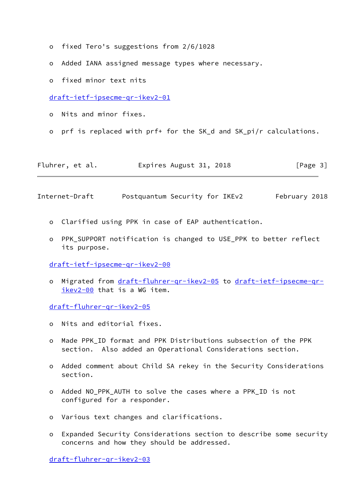- o fixed Tero's suggestions from 2/6/1028
- o Added IANA assigned message types where necessary.
- o fixed minor text nits

[draft-ietf-ipsecme-qr-ikev2-01](https://datatracker.ietf.org/doc/pdf/draft-ietf-ipsecme-qr-ikev2-01)

- o Nits and minor fixes.
- o prf is replaced with prf+ for the SK\_d and SK\_pi/r calculations.

Fluhrer, et al. **Expires August 31, 2018** [Page 3]

Internet-Draft Postquantum Security for IKEv2 February 2018

- o Clarified using PPK in case of EAP authentication.
- o PPK\_SUPPORT notification is changed to USE\_PPK to better reflect its purpose.

[draft-ietf-ipsecme-qr-ikev2-00](https://datatracker.ietf.org/doc/pdf/draft-ietf-ipsecme-qr-ikev2-00)

o Migrated from [draft-fluhrer-qr-ikev2-05](https://datatracker.ietf.org/doc/pdf/draft-fluhrer-qr-ikev2-05) to [draft-ietf-ipsecme-qr](https://datatracker.ietf.org/doc/pdf/draft-ietf-ipsecme-qr-ikev2-00) [ikev2-00](https://datatracker.ietf.org/doc/pdf/draft-ietf-ipsecme-qr-ikev2-00) that is a WG item.

[draft-fluhrer-qr-ikev2-05](https://datatracker.ietf.org/doc/pdf/draft-fluhrer-qr-ikev2-05)

- o Nits and editorial fixes.
- o Made PPK\_ID format and PPK Distributions subsection of the PPK section. Also added an Operational Considerations section.
- o Added comment about Child SA rekey in the Security Considerations section.
- o Added NO\_PPK\_AUTH to solve the cases where a PPK\_ID is not configured for a responder.
- o Various text changes and clarifications.
- o Expanded Security Considerations section to describe some security concerns and how they should be addressed.

[draft-fluhrer-qr-ikev2-03](https://datatracker.ietf.org/doc/pdf/draft-fluhrer-qr-ikev2-03)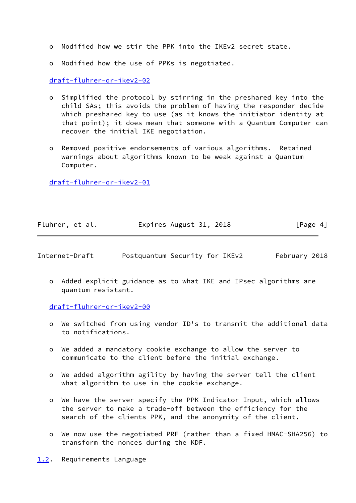- o Modified how we stir the PPK into the IKEv2 secret state.
- o Modified how the use of PPKs is negotiated.

# [draft-fluhrer-qr-ikev2-02](https://datatracker.ietf.org/doc/pdf/draft-fluhrer-qr-ikev2-02)

- o Simplified the protocol by stirring in the preshared key into the child SAs; this avoids the problem of having the responder decide which preshared key to use (as it knows the initiator identity at that point); it does mean that someone with a Quantum Computer can recover the initial IKE negotiation.
- o Removed positive endorsements of various algorithms. Retained warnings about algorithms known to be weak against a Quantum Computer.

[draft-fluhrer-qr-ikev2-01](https://datatracker.ietf.org/doc/pdf/draft-fluhrer-qr-ikev2-01)

| Fluhrer, et al. | Expires August 31, 2018 | [Page 4] |
|-----------------|-------------------------|----------|
|-----------------|-------------------------|----------|

<span id="page-4-1"></span>

|  | Internet-Draft | Postquantum Security for IKEv2 |  |  |  | February 2018 |  |
|--|----------------|--------------------------------|--|--|--|---------------|--|
|--|----------------|--------------------------------|--|--|--|---------------|--|

 o Added explicit guidance as to what IKE and IPsec algorithms are quantum resistant.

[draft-fluhrer-qr-ikev2-00](https://datatracker.ietf.org/doc/pdf/draft-fluhrer-qr-ikev2-00)

- o We switched from using vendor ID's to transmit the additional data to notifications.
- o We added a mandatory cookie exchange to allow the server to communicate to the client before the initial exchange.
- o We added algorithm agility by having the server tell the client what algorithm to use in the cookie exchange.
- o We have the server specify the PPK Indicator Input, which allows the server to make a trade-off between the efficiency for the search of the clients PPK, and the anonymity of the client.
- o We now use the negotiated PRF (rather than a fixed HMAC-SHA256) to transform the nonces during the KDF.
- <span id="page-4-0"></span>[1.2](#page-4-0). Requirements Language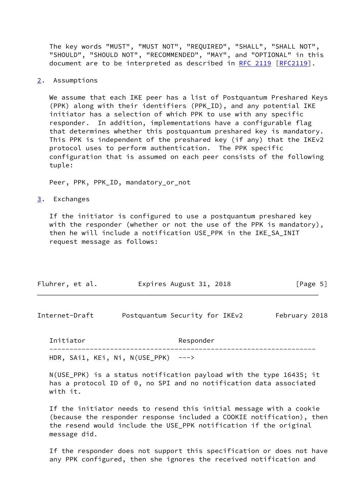The key words "MUST", "MUST NOT", "REQUIRED", "SHALL", "SHALL NOT", "SHOULD", "SHOULD NOT", "RECOMMENDED", "MAY", and "OPTIONAL" in this document are to be interpreted as described in [RFC 2119 \[RFC2119](https://datatracker.ietf.org/doc/pdf/rfc2119)].

<span id="page-5-0"></span>[2](#page-5-0). Assumptions

 We assume that each IKE peer has a list of Postquantum Preshared Keys (PPK) along with their identifiers (PPK\_ID), and any potential IKE initiator has a selection of which PPK to use with any specific responder. In addition, implementations have a configurable flag that determines whether this postquantum preshared key is mandatory. This PPK is independent of the preshared key (if any) that the IKEv2 protocol uses to perform authentication. The PPK specific configuration that is assumed on each peer consists of the following tuple:

Peer, PPK, PPK\_ID, mandatory\_or\_not

<span id="page-5-1"></span>[3](#page-5-1). Exchanges

 If the initiator is configured to use a postquantum preshared key with the responder (whether or not the use of the PPK is mandatory), then he will include a notification USE\_PPK in the IKE\_SA\_INIT request message as follows:

| Fluhrer, et al. | Expires August 31, 2018 | [Page 5] |
|-----------------|-------------------------|----------|
|                 |                         |          |

Internet-Draft Postquantum Security for IKEv2 February 2018

 Initiator Responder ------------------------------------------------------------------ HDR, SAi1, KEi, Ni, N(USE\_PPK) --->

 N(USE\_PPK) is a status notification payload with the type 16435; it has a protocol ID of 0, no SPI and no notification data associated with it.

 If the initiator needs to resend this initial message with a cookie (because the responder response included a COOKIE notification), then the resend would include the USE\_PPK notification if the original message did.

 If the responder does not support this specification or does not have any PPK configured, then she ignores the received notification and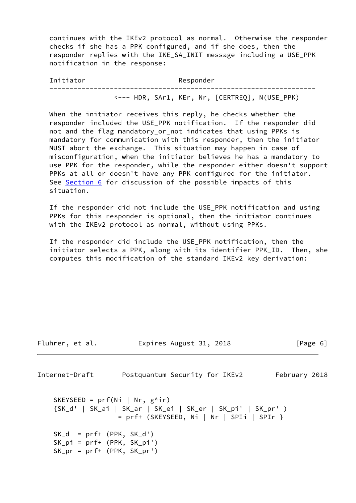continues with the IKEv2 protocol as normal. Otherwise the responder checks if she has a PPK configured, and if she does, then the responder replies with the IKE\_SA\_INIT message including a USE\_PPK notification in the response:

Initiator Responder ------------------------------------------------------------------ <--- HDR, SAr1, KEr, Nr, [CERTREQ], N(USE\_PPK)

When the initiator receives this reply, he checks whether the responder included the USE\_PPK notification. If the responder did not and the flag mandatory\_or\_not indicates that using PPKs is mandatory for communication with this responder, then the initiator MUST abort the exchange. This situation may happen in case of misconfiguration, when the initiator believes he has a mandatory to use PPK for the responder, while the responder either doesn't support PPKs at all or doesn't have any PPK configured for the initiator. See [Section 6](#page-14-0) for discussion of the possible impacts of this situation.

 If the responder did not include the USE\_PPK notification and using PPKs for this responder is optional, then the initiator continues with the IKEv2 protocol as normal, without using PPKs.

 If the responder did include the USE\_PPK notification, then the initiator selects a PPK, along with its identifier PPK\_ID. Then, she computes this modification of the standard IKEv2 key derivation:

```
Internet-Draft Postquantum Security for IKEv2 February 2018
   SKEYSEED = prf(Ni | Nr, g^{\wedge}ir) {SK_d' | SK_ai | SK_ar | SK_ei | SK_er | SK_pi' | SK_pr' )
                  = prf+ (SKEYSEED, Ni | Nr | SPIi | SPIr }
   SK_d = prf+ (PPK, SK_d')
```
Fluhrer, et al. **Expires August 31, 2018** [Page 6]

```
 SK_pi = prf+ (PPK, SK_pi')
SK_pr = prf+ (PPK, SK_pr')
```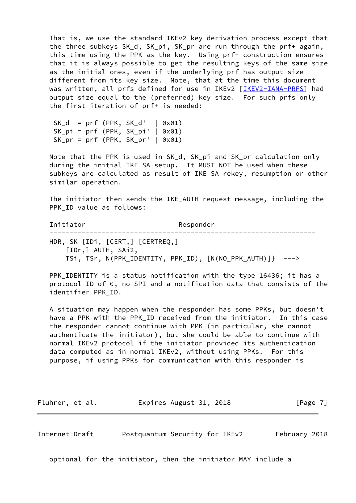That is, we use the standard IKEv2 key derivation process except that the three subkeys SK\_d, SK\_pi, SK\_pr are run through the prf+ again, this time using the PPK as the key. Using prf+ construction ensures that it is always possible to get the resulting keys of the same size as the initial ones, even if the underlying prf has output size different from its key size. Note, that at the time this document was written, all prfs defined for use in IKEv2 [\[IKEV2-IANA-PRFS](#page-17-4)] had output size equal to the (preferred) key size. For such prfs only the first iteration of prf+ is needed:

 $SK_d = prf (PPK, SK_d' | 0x01)$  $SK\_pi = prf$  (PPK,  $SK\_pi'$  | 0x01)  $SK_pr = prf$  (PPK,  $SK_pr'$  | 0x01)

 Note that the PPK is used in SK\_d, SK\_pi and SK\_pr calculation only during the initial IKE SA setup. It MUST NOT be used when these subkeys are calculated as result of IKE SA rekey, resumption or other similar operation.

 The initiator then sends the IKE\_AUTH request message, including the PPK ID value as follows:

Initiator Responder ------------------------------------------------------------------ HDR, SK {IDi, [CERT,] [CERTREQ,] [IDr,] AUTH, SAi2, TSi, TSr, N(PPK\_IDENTITY, PPK\_ID), [N(NO\_PPK\_AUTH)]} --->

 PPK\_IDENTITY is a status notification with the type 16436; it has a protocol ID of 0, no SPI and a notification data that consists of the identifier PPK\_ID.

 A situation may happen when the responder has some PPKs, but doesn't have a PPK with the PPK\_ID received from the initiator. In this case the responder cannot continue with PPK (in particular, she cannot authenticate the initiator), but she could be able to continue with normal IKEv2 protocol if the initiator provided its authentication data computed as in normal IKEv2, without using PPKs. For this purpose, if using PPKs for communication with this responder is

Fluhrer, et al. **Expires August 31, 2018** [Page 7]

Internet-Draft Postquantum Security for IKEv2 February 2018

optional for the initiator, then the initiator MAY include a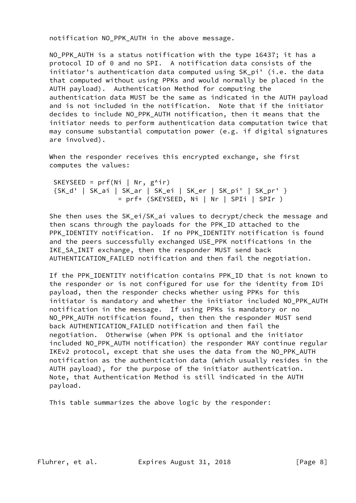notification NO\_PPK\_AUTH in the above message.

NO PPK AUTH is a status notification with the type 16437; it has a protocol ID of 0 and no SPI. A notification data consists of the initiator's authentication data computed using SK\_pi' (i.e. the data that computed without using PPKs and would normally be placed in the AUTH payload). Authentication Method for computing the authentication data MUST be the same as indicated in the AUTH payload and is not included in the notification. Note that if the initiator decides to include NO\_PPK\_AUTH notification, then it means that the initiator needs to perform authentication data computation twice that may consume substantial computation power (e.g. if digital signatures are involved).

 When the responder receives this encrypted exchange, she first computes the values:

SKEYSEED =  $prf(Ni | Nr, g^{\wedge}ir)$  {SK\_d' | SK\_ai | SK\_ar | SK\_ei | SK\_er | SK\_pi' | SK\_pr' } = prf+ (SKEYSEED, Ni | Nr | SPIi | SPIr )

 She then uses the SK\_ei/SK\_ai values to decrypt/check the message and then scans through the payloads for the PPK\_ID attached to the PPK\_IDENTITY notification. If no PPK\_IDENTITY notification is found and the peers successfully exchanged USE\_PPK notifications in the IKE\_SA\_INIT exchange, then the responder MUST send back AUTHENTICATION\_FAILED notification and then fail the negotiation.

 If the PPK\_IDENTITY notification contains PPK\_ID that is not known to the responder or is not configured for use for the identity from IDi payload, then the responder checks whether using PPKs for this initiator is mandatory and whether the initiator included NO\_PPK\_AUTH notification in the message. If using PPKs is mandatory or no NO\_PPK\_AUTH notification found, then then the responder MUST send back AUTHENTICATION FAILED notification and then fail the negotiation. Otherwise (when PPK is optional and the initiator included NO\_PPK\_AUTH notification) the responder MAY continue regular IKEv2 protocol, except that she uses the data from the NO\_PPK\_AUTH notification as the authentication data (which usually resides in the AUTH payload), for the purpose of the initiator authentication. Note, that Authentication Method is still indicated in the AUTH payload.

This table summarizes the above logic by the responder: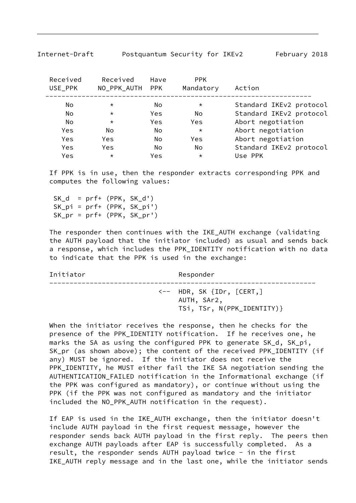| Received<br>USE_PPK | Received<br>NO_PPK_AUTH PPK | Have       | PPK.<br>Mandatory | Action                  |
|---------------------|-----------------------------|------------|-------------------|-------------------------|
| No                  | $\star$                     | No         | $\star$           | Standard IKEv2 protocol |
| No                  | $\star$                     | Yes        | No                | Standard IKEv2 protocol |
| No                  | $\star$                     | <b>Yes</b> | <b>Yes</b>        | Abort negotiation       |
| Yes                 | No                          | <b>No</b>  | $\star$           | Abort negotiation       |
| Yes                 | Yes                         | No         | Yes               | Abort negotiation       |
| Yes                 | Yes                         | No.        | No.               | Standard IKEv2 protocol |
| Yes                 | $\star$                     | Yes        | $\star$           | Use PPK                 |

Internet-Draft Postquantum Security for IKEv2 February 2018

 If PPK is in use, then the responder extracts corresponding PPK and computes the following values:

 $SK_d = prf+ (PPK, SK_d')$  SK\_pi = prf+ (PPK, SK\_pi') SK\_pr = prf+ (PPK, SK\_pr')

 The responder then continues with the IKE\_AUTH exchange (validating the AUTH payload that the initiator included) as usual and sends back a response, which includes the PPK\_IDENTITY notification with no data to indicate that the PPK is used in the exchange:

| Initiator | Responder                                                                                 |
|-----------|-------------------------------------------------------------------------------------------|
|           | $\leftarrow$ HDR, SK $\{IDr, \; [CERT, ]\}$<br>AUTH, SAr2,<br>TSi, TSr, N(PPK_IDENTITY) } |

 When the initiator receives the response, then he checks for the presence of the PPK\_IDENTITY notification. If he receives one, he marks the SA as using the configured PPK to generate SK\_d, SK\_pi, SK\_pr (as shown above); the content of the received PPK\_IDENTITY (if any) MUST be ignored. If the initiator does not receive the PPK\_IDENTITY, he MUST either fail the IKE SA negotiation sending the AUTHENTICATION\_FAILED notification in the Informational exchange (if the PPK was configured as mandatory), or continue without using the PPK (if the PPK was not configured as mandatory and the initiator included the NO\_PPK\_AUTH notification in the request).

 If EAP is used in the IKE\_AUTH exchange, then the initiator doesn't include AUTH payload in the first request message, however the responder sends back AUTH payload in the first reply. The peers then exchange AUTH payloads after EAP is successfully completed. As a result, the responder sends AUTH payload twice - in the first IKE\_AUTH reply message and in the last one, while the initiator sends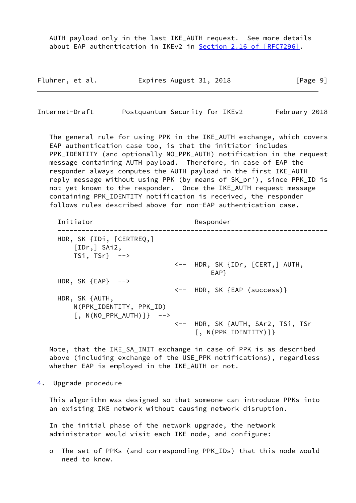AUTH payload only in the last IKE\_AUTH request. See more details about EAP authentication in IKEv2 in Section [2.16 of \[RFC7296\]](https://datatracker.ietf.org/doc/pdf/rfc7296#section-2.16).

| Fluhrer, et al. | Expires August 31, 2018 | [Page 9] |
|-----------------|-------------------------|----------|
|-----------------|-------------------------|----------|

<span id="page-10-1"></span>Internet-Draft Postquantum Security for IKEv2 February 2018

 The general rule for using PPK in the IKE\_AUTH exchange, which covers EAP authentication case too, is that the initiator includes PPK\_IDENTITY (and optionally NO\_PPK\_AUTH) notification in the request message containing AUTH payload. Therefore, in case of EAP the responder always computes the AUTH payload in the first IKE\_AUTH reply message without using PPK (by means of SK\_pr'), since PPK\_ID is not yet known to the responder. Once the IKE\_AUTH request message containing PPK\_IDENTITY notification is received, the responder follows rules described above for non-EAP authentication case.

| Initiator                                                                                | Responder                                |
|------------------------------------------------------------------------------------------|------------------------------------------|
| HDR, SK $\{IDi, \; [CERTREQ, ]$<br>[IDr, ] Shi2,<br>$TSi, TSr} \rightarrow -\rightarrow$ |                                          |
|                                                                                          | <-- HDR, SK {IDr, [CERT,] AUTH,<br>EAP } |
| HDR, SK ${EAP}$ -->                                                                      |                                          |
|                                                                                          | <-- HDR, SK {EAP (success)}              |
| HDR, SK {AUTH,                                                                           |                                          |
| N(PPK_IDENTITY, PPK_ID)                                                                  |                                          |
| $\lceil$ , N(NO PPK AUTH) $\rceil$ } -->                                                 |                                          |
|                                                                                          | <-- HDR, SK {AUTH, SAr2, TSi, TSr        |
|                                                                                          | $[$ , N(PPK_IDENTITY)]}                  |

 Note, that the IKE\_SA\_INIT exchange in case of PPK is as described above (including exchange of the USE\_PPK notifications), regardless whether EAP is employed in the IKE\_AUTH or not.

<span id="page-10-0"></span>[4](#page-10-0). Upgrade procedure

 This algorithm was designed so that someone can introduce PPKs into an existing IKE network without causing network disruption.

 In the initial phase of the network upgrade, the network administrator would visit each IKE node, and configure:

 o The set of PPKs (and corresponding PPK\_IDs) that this node would need to know.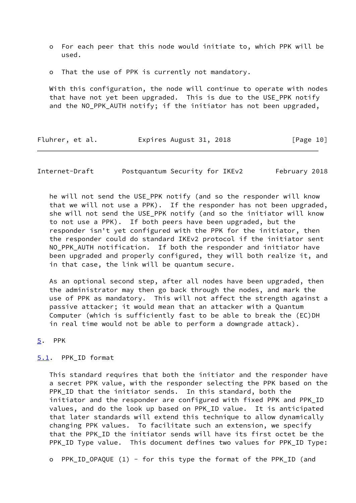- o For each peer that this node would initiate to, which PPK will be used.
- o That the use of PPK is currently not mandatory.

 With this configuration, the node will continue to operate with nodes that have not yet been upgraded. This is due to the USE\_PPK notify and the NO\_PPK\_AUTH notify; if the initiator has not been upgraded,

| Fluhrer, et al. | Expires August 31, 2018 | [Page 10] |
|-----------------|-------------------------|-----------|
|-----------------|-------------------------|-----------|

<span id="page-11-1"></span>Internet-Draft Postquantum Security for IKEv2 February 2018

he will not send the USE PPK notify (and so the responder will know that we will not use a PPK). If the responder has not been upgraded, she will not send the USE\_PPK notify (and so the initiator will know to not use a PPK). If both peers have been upgraded, but the responder isn't yet configured with the PPK for the initiator, then the responder could do standard IKEv2 protocol if the initiator sent NO\_PPK\_AUTH notification. If both the responder and initiator have been upgraded and properly configured, they will both realize it, and in that case, the link will be quantum secure.

 As an optional second step, after all nodes have been upgraded, then the administrator may then go back through the nodes, and mark the use of PPK as mandatory. This will not affect the strength against a passive attacker; it would mean that an attacker with a Quantum Computer (which is sufficiently fast to be able to break the (EC)DH in real time would not be able to perform a downgrade attack).

<span id="page-11-0"></span>[5](#page-11-0). PPK

## <span id="page-11-2"></span>[5.1](#page-11-2). PPK\_ID format

 This standard requires that both the initiator and the responder have a secret PPK value, with the responder selecting the PPK based on the PPK\_ID that the initiator sends. In this standard, both the initiator and the responder are configured with fixed PPK and PPK\_ID values, and do the look up based on PPK\_ID value. It is anticipated that later standards will extend this technique to allow dynamically changing PPK values. To facilitate such an extension, we specify that the PPK\_ID the initiator sends will have its first octet be the PPK\_ID Type value. This document defines two values for PPK\_ID Type:

o PPK\_ID\_OPAQUE (1) - for this type the format of the PPK\_ID (and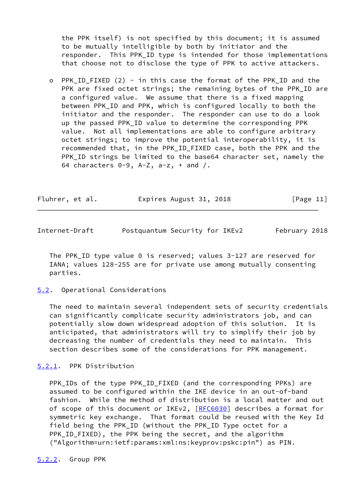the PPK itself) is not specified by this document; it is assumed to be mutually intelligible by both by initiator and the responder. This PPK\_ID type is intended for those implementations that choose not to disclose the type of PPK to active attackers.

o PPK ID FIXED (2) - in this case the format of the PPK ID and the PPK are fixed octet strings; the remaining bytes of the PPK ID are a configured value. We assume that there is a fixed mapping between PPK\_ID and PPK, which is configured locally to both the initiator and the responder. The responder can use to do a look up the passed PPK\_ID value to determine the corresponding PPK value. Not all implementations are able to configure arbitrary octet strings; to improve the potential interoperability, it is recommended that, in the PPK\_ID\_FIXED case, both the PPK and the PPK\_ID strings be limited to the base64 character set, namely the 64 characters  $0-9$ ,  $A-Z$ ,  $a-z$ ,  $+$  and  $/$ .

| Fluhrer, et al. | Expires August 31, 2018 | [Page 11] |
|-----------------|-------------------------|-----------|
|-----------------|-------------------------|-----------|

<span id="page-12-1"></span>

| Internet-Draft | Postquantum Security for IKEv2 |  | February 2018 |
|----------------|--------------------------------|--|---------------|
|                |                                |  |               |

The PPK ID type value 0 is reserved; values 3-127 are reserved for IANA; values 128-255 are for private use among mutually consenting parties.

#### <span id="page-12-0"></span>[5.2](#page-12-0). Operational Considerations

 The need to maintain several independent sets of security credentials can significantly complicate security administrators job, and can potentially slow down widespread adoption of this solution. It is anticipated, that administrators will try to simplify their job by decreasing the number of credentials they need to maintain. This section describes some of the considerations for PPK management.

## <span id="page-12-2"></span>[5.2.1](#page-12-2). PPK Distribution

 PPK\_IDs of the type PPK\_ID\_FIXED (and the corresponding PPKs) are assumed to be configured within the IKE device in an out-of-band fashion. While the method of distribution is a local matter and out of scope of this document or IKEv2, [\[RFC6030](https://datatracker.ietf.org/doc/pdf/rfc6030)] describes a format for symmetric key exchange. That format could be reused with the Key Id field being the PPK\_ID (without the PPK\_ID Type octet for a PPK\_ID\_FIXED), the PPK being the secret, and the algorithm ("Algorithm=urn:ietf:params:xml:ns:keyprov:pskc:pin") as PIN.

<span id="page-12-3"></span>[5.2.2](#page-12-3). Group PPK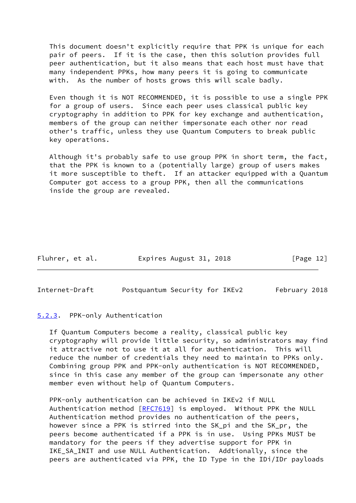This document doesn't explicitly require that PPK is unique for each pair of peers. If it is the case, then this solution provides full peer authentication, but it also means that each host must have that many independent PPKs, how many peers it is going to communicate with. As the number of hosts grows this will scale badly.

 Even though it is NOT RECOMMENDED, it is possible to use a single PPK for a group of users. Since each peer uses classical public key cryptography in addition to PPK for key exchange and authentication, members of the group can neither impersonate each other nor read other's traffic, unless they use Quantum Computers to break public key operations.

 Although it's probably safe to use group PPK in short term, the fact, that the PPK is known to a (potentially large) group of users makes it more susceptible to theft. If an attacker equipped with a Quantum Computer got access to a group PPK, then all the communications inside the group are revealed.

| Fluhrer, et al. | Expires August 31, 2018 | [Page 12] |
|-----------------|-------------------------|-----------|
|-----------------|-------------------------|-----------|

<span id="page-13-1"></span>Internet-Draft Postquantum Security for IKEv2 February 2018

# <span id="page-13-0"></span>[5.2.3](#page-13-0). PPK-only Authentication

 If Quantum Computers become a reality, classical public key cryptography will provide little security, so administrators may find it attractive not to use it at all for authentication. This will reduce the number of credentials they need to maintain to PPKs only. Combining group PPK and PPK-only authentication is NOT RECOMMENDED, since in this case any member of the group can impersonate any other member even without help of Quantum Computers.

 PPK-only authentication can be achieved in IKEv2 if NULL Authentication method [[RFC7619](https://datatracker.ietf.org/doc/pdf/rfc7619)] is employed. Without PPK the NULL Authentication method provides no authentication of the peers, however since a PPK is stirred into the SK\_pi and the SK\_pr, the peers become authenticated if a PPK is in use. Using PPKs MUST be mandatory for the peers if they advertise support for PPK in IKE\_SA\_INIT and use NULL Authentication. Addtionally, since the peers are authenticated via PPK, the ID Type in the IDi/IDr payloads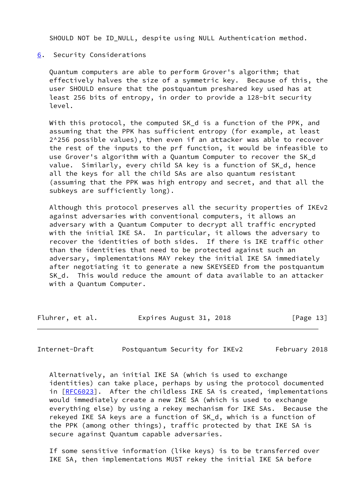SHOULD NOT be ID\_NULL, despite using NULL Authentication method.

<span id="page-14-0"></span>[6](#page-14-0). Security Considerations

 Quantum computers are able to perform Grover's algorithm; that effectively halves the size of a symmetric key. Because of this, the user SHOULD ensure that the postquantum preshared key used has at least 256 bits of entropy, in order to provide a 128-bit security level.

 With this protocol, the computed SK\_d is a function of the PPK, and assuming that the PPK has sufficient entropy (for example, at least 2^256 possible values), then even if an attacker was able to recover the rest of the inputs to the prf function, it would be infeasible to use Grover's algorithm with a Quantum Computer to recover the SK\_d value. Similarly, every child SA key is a function of SK\_d, hence all the keys for all the child SAs are also quantum resistant (assuming that the PPK was high entropy and secret, and that all the subkeys are sufficiently long).

 Although this protocol preserves all the security properties of IKEv2 against adversaries with conventional computers, it allows an adversary with a Quantum Computer to decrypt all traffic encrypted with the initial IKE SA. In particular, it allows the adversary to recover the identities of both sides. If there is IKE traffic other than the identities that need to be protected against such an adversary, implementations MAY rekey the initial IKE SA immediately after negotiating it to generate a new SKEYSEED from the postquantum SK\_d. This would reduce the amount of data available to an attacker with a Quantum Computer.

Fluhrer, et al. **Expires August 31, 2018** [Page 13]

Internet-Draft Postquantum Security for IKEv2 February 2018

 Alternatively, an initial IKE SA (which is used to exchange identities) can take place, perhaps by using the protocol documented in [[RFC6023\]](https://datatracker.ietf.org/doc/pdf/rfc6023). After the childless IKE SA is created, implementations would immediately create a new IKE SA (which is used to exchange everything else) by using a rekey mechanism for IKE SAs. Because the rekeyed IKE SA keys are a function of SK\_d, which is a function of the PPK (among other things), traffic protected by that IKE SA is secure against Quantum capable adversaries.

 If some sensitive information (like keys) is to be transferred over IKE SA, then implementations MUST rekey the initial IKE SA before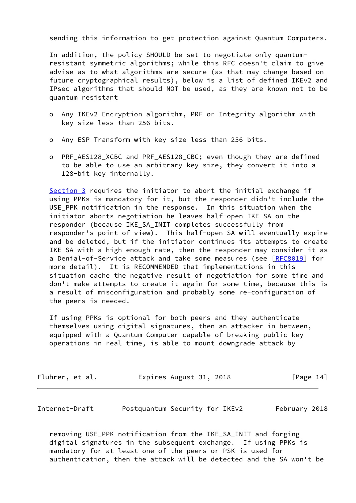sending this information to get protection against Quantum Computers.

 In addition, the policy SHOULD be set to negotiate only quantum resistant symmetric algorithms; while this RFC doesn't claim to give advise as to what algorithms are secure (as that may change based on future cryptographical results), below is a list of defined IKEv2 and IPsec algorithms that should NOT be used, as they are known not to be quantum resistant

- o Any IKEv2 Encryption algorithm, PRF or Integrity algorithm with key size less than 256 bits.
- o Any ESP Transform with key size less than 256 bits.
- o PRF\_AES128\_XCBC and PRF\_AES128\_CBC; even though they are defined to be able to use an arbitrary key size, they convert it into a 128-bit key internally.

 [Section 3](#page-5-1) requires the initiator to abort the initial exchange if using PPKs is mandatory for it, but the responder didn't include the USE\_PPK notification in the response. In this situation when the initiator aborts negotiation he leaves half-open IKE SA on the responder (because IKE\_SA\_INIT completes successfully from responder's point of view). This half-open SA will eventually expire and be deleted, but if the initiator continues its attempts to create IKE SA with a high enough rate, then the responder may consider it as a Denial-of-Service attack and take some measures (see [\[RFC8019](https://datatracker.ietf.org/doc/pdf/rfc8019)] for more detail). It is RECOMMENDED that implementations in this situation cache the negative result of negotiation for some time and don't make attempts to create it again for some time, because this is a result of misconfiguration and probably some re-configuration of the peers is needed.

 If using PPKs is optional for both peers and they authenticate themselves using digital signatures, then an attacker in between, equipped with a Quantum Computer capable of breaking public key operations in real time, is able to mount downgrade attack by

| Fluhrer, et al. | Expires August 31, 2018 | [Page 14] |
|-----------------|-------------------------|-----------|
|-----------------|-------------------------|-----------|

<span id="page-15-0"></span>Internet-Draft Postquantum Security for IKEv2 February 2018

 removing USE\_PPK notification from the IKE\_SA\_INIT and forging digital signatures in the subsequent exchange. If using PPKs is mandatory for at least one of the peers or PSK is used for authentication, then the attack will be detected and the SA won't be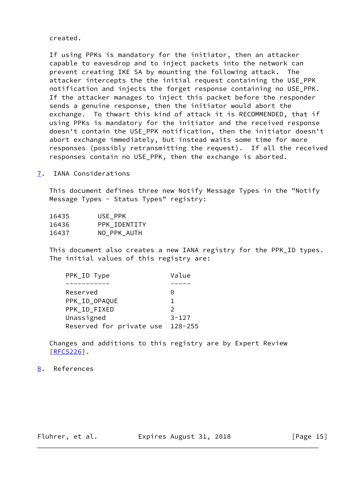created.

 If using PPKs is mandatory for the initiator, then an attacker capable to eavesdrop and to inject packets into the network can prevent creating IKE SA by mounting the following attack. The attacker intercepts the the initial request containing the USE\_PPK notification and injects the forget response containing no USE\_PPK. If the attacker manages to inject this packet before the responder sends a genuine response, then the initiator would abort the exchange. To thwart this kind of attack it is RECOMMENDED, that if using PPKs is mandatory for the initiator and the received response doesn't contain the USE\_PPK notification, then the initiator doesn't abort exchange immediately, but instead waits some time for more responses (possibly retransmitting the request). If all the received responses contain no USE\_PPK, then the exchange is aborted.

<span id="page-16-0"></span>[7](#page-16-0). IANA Considerations

 This document defines three new Notify Message Types in the "Notify Message Types - Status Types" registry:

| 16435 | USE PPK      |
|-------|--------------|
| 16436 | PPK IDENTITY |
| 16437 | NO PPK AUTH  |

 This document also creates a new IANA registry for the PPK\_ID types. The initial values of this registry are:

| PPK_ID Type              | Value         |
|--------------------------|---------------|
|                          |               |
| Reserved                 | 0             |
| PPK_ID_OPAQUE            | 1.            |
| PPK ID FIXED             | $\mathcal{P}$ |
| Unassigned               | $3 - 127$     |
| Reserved for private use | $128 - 255$   |

 Changes and additions to this registry are by Expert Review  $[RFC5226]$  $[RFC5226]$ .

## <span id="page-16-1"></span>[8](#page-16-1). References

Fluhrer, et al. **Expires August 31, 2018** [Page 15]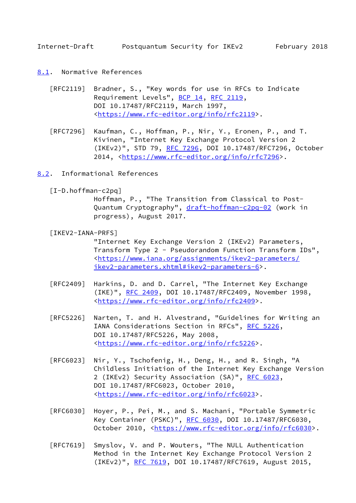<span id="page-17-1"></span>Internet-Draft Postquantum Security for IKEv2 February 2018

- <span id="page-17-0"></span>[8.1](#page-17-0). Normative References
	- [RFC2119] Bradner, S., "Key words for use in RFCs to Indicate Requirement Levels", [BCP 14](https://datatracker.ietf.org/doc/pdf/bcp14), [RFC 2119](https://datatracker.ietf.org/doc/pdf/rfc2119), DOI 10.17487/RFC2119, March 1997, <[https://www.rfc-editor.org/info/rfc2119>](https://www.rfc-editor.org/info/rfc2119).
	- [RFC7296] Kaufman, C., Hoffman, P., Nir, Y., Eronen, P., and T. Kivinen, "Internet Key Exchange Protocol Version 2 (IKEv2)", STD 79, [RFC 7296](https://datatracker.ietf.org/doc/pdf/rfc7296), DOI 10.17487/RFC7296, October 2014, [<https://www.rfc-editor.org/info/rfc7296](https://www.rfc-editor.org/info/rfc7296)>.
- <span id="page-17-3"></span><span id="page-17-2"></span>[8.2](#page-17-2). Informational References
	- [I-D.hoffman-c2pq]

 Hoffman, P., "The Transition from Classical to Post Quantum Cryptography", [draft-hoffman-c2pq-02](https://datatracker.ietf.org/doc/pdf/draft-hoffman-c2pq-02) (work in progress), August 2017.

<span id="page-17-4"></span>[IKEV2-IANA-PRFS]

 "Internet Key Exchange Version 2 (IKEv2) Parameters, Transform Type 2 - Pseudorandom Function Transform IDs", <[https://www.iana.org/assignments/ikev2-parameters/](https://www.iana.org/assignments/ikev2-parameters/ikev2-parameters.xhtml#ikev2-parameters-6) [ikev2-parameters.xhtml#ikev2-parameters-6>](https://www.iana.org/assignments/ikev2-parameters/ikev2-parameters.xhtml#ikev2-parameters-6).

- [RFC2409] Harkins, D. and D. Carrel, "The Internet Key Exchange (IKE)", [RFC 2409,](https://datatracker.ietf.org/doc/pdf/rfc2409) DOI 10.17487/RFC2409, November 1998, <[https://www.rfc-editor.org/info/rfc2409>](https://www.rfc-editor.org/info/rfc2409).
- [RFC5226] Narten, T. and H. Alvestrand, "Guidelines for Writing an IANA Considerations Section in RFCs", [RFC 5226](https://datatracker.ietf.org/doc/pdf/rfc5226), DOI 10.17487/RFC5226, May 2008, <[https://www.rfc-editor.org/info/rfc5226>](https://www.rfc-editor.org/info/rfc5226).
- [RFC6023] Nir, Y., Tschofenig, H., Deng, H., and R. Singh, "A Childless Initiation of the Internet Key Exchange Version 2 (IKEv2) Security Association (SA)", [RFC 6023](https://datatracker.ietf.org/doc/pdf/rfc6023), DOI 10.17487/RFC6023, October 2010, <[https://www.rfc-editor.org/info/rfc6023>](https://www.rfc-editor.org/info/rfc6023).
- [RFC6030] Hoyer, P., Pei, M., and S. Machani, "Portable Symmetric Key Container (PSKC)", [RFC 6030](https://datatracker.ietf.org/doc/pdf/rfc6030), DOI 10.17487/RFC6030, October 2010, [<https://www.rfc-editor.org/info/rfc6030](https://www.rfc-editor.org/info/rfc6030)>.
- [RFC7619] Smyslov, V. and P. Wouters, "The NULL Authentication Method in the Internet Key Exchange Protocol Version 2 (IKEv2)", [RFC 7619](https://datatracker.ietf.org/doc/pdf/rfc7619), DOI 10.17487/RFC7619, August 2015,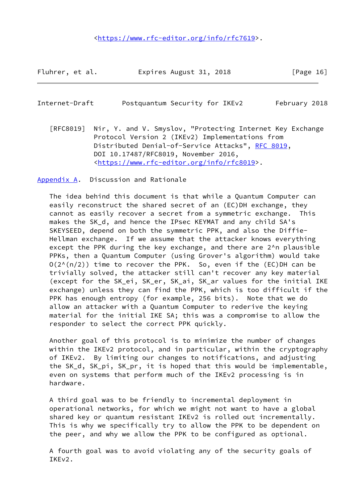<[https://www.rfc-editor.org/info/rfc7619>](https://www.rfc-editor.org/info/rfc7619).

Fluhrer, et al. Expires August 31, 2018 [Page 16]

<span id="page-18-1"></span>

| Internet-Draft | Postquantum Security for IKEv2 |  | February 2018 |  |
|----------------|--------------------------------|--|---------------|--|
|                |                                |  |               |  |

 [RFC8019] Nir, Y. and V. Smyslov, "Protecting Internet Key Exchange Protocol Version 2 (IKEv2) Implementations from Distributed Denial-of-Service Attacks", [RFC 8019,](https://datatracker.ietf.org/doc/pdf/rfc8019) DOI 10.17487/RFC8019, November 2016, <[https://www.rfc-editor.org/info/rfc8019>](https://www.rfc-editor.org/info/rfc8019).

<span id="page-18-0"></span>[Appendix A.](#page-18-0) Discussion and Rationale

 The idea behind this document is that while a Quantum Computer can easily reconstruct the shared secret of an (EC)DH exchange, they cannot as easily recover a secret from a symmetric exchange. This makes the SK\_d, and hence the IPsec KEYMAT and any child SA's SKEYSEED, depend on both the symmetric PPK, and also the Diffie- Hellman exchange. If we assume that the attacker knows everything except the PPK during the key exchange, and there are 2^n plausible PPKs, then a Quantum Computer (using Grover's algorithm) would take  $O(2^{N(n/2)})$  time to recover the PPK. So, even if the (EC)DH can be trivially solved, the attacker still can't recover any key material (except for the SK\_ei, SK\_er, SK\_ai, SK\_ar values for the initial IKE exchange) unless they can find the PPK, which is too difficult if the PPK has enough entropy (for example, 256 bits). Note that we do allow an attacker with a Quantum Computer to rederive the keying material for the initial IKE SA; this was a compromise to allow the responder to select the correct PPK quickly.

 Another goal of this protocol is to minimize the number of changes within the IKEv2 protocol, and in particular, within the cryptography of IKEv2. By limiting our changes to notifications, and adjusting the SK\_d, SK\_pi, SK\_pr, it is hoped that this would be implementable, even on systems that perform much of the IKEv2 processing is in hardware.

 A third goal was to be friendly to incremental deployment in operational networks, for which we might not want to have a global shared key or quantum resistant IKEv2 is rolled out incrementally. This is why we specifically try to allow the PPK to be dependent on the peer, and why we allow the PPK to be configured as optional.

 A fourth goal was to avoid violating any of the security goals of IKEv2.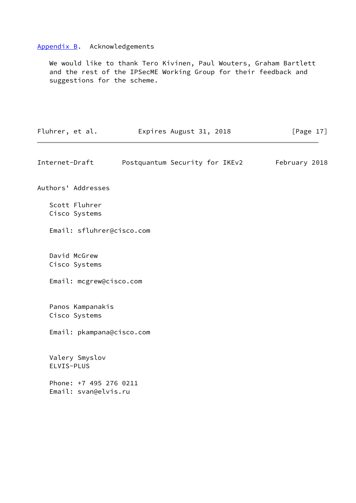# <span id="page-19-0"></span>[Appendix B.](#page-19-0) Acknowledgements

 We would like to thank Tero Kivinen, Paul Wouters, Graham Bartlett and the rest of the IPSecME Working Group for their feedback and suggestions for the scheme.

<span id="page-19-1"></span>

| Fluhrer, et al. |                                                | Expires August 31, 2018        | [Page $17$ ]  |
|-----------------|------------------------------------------------|--------------------------------|---------------|
| Internet-Draft  |                                                | Postquantum Security for IKEv2 | February 2018 |
|                 | Authors' Addresses                             |                                |               |
|                 | Scott Fluhrer<br>Cisco Systems                 |                                |               |
|                 |                                                | Email: sfluhrer@cisco.com      |               |
|                 | David McGrew<br>Cisco Systems                  |                                |               |
|                 |                                                | Email: mcgrew@cisco.com        |               |
|                 | Panos Kampanakis<br>Cisco Systems              |                                |               |
|                 |                                                | Email: pkampana@cisco.com      |               |
| ELVIS-PLUS      | Valery Smyslov                                 |                                |               |
|                 | Phone: +7 495 276 0211<br>Email: svan@elvis.ru |                                |               |